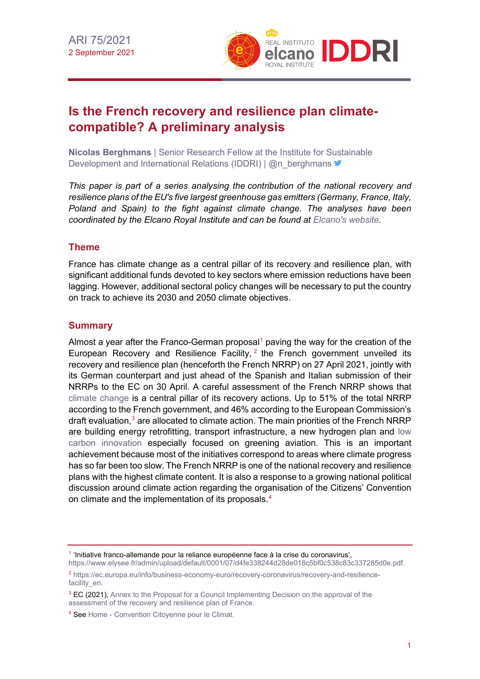

# **Is the French recovery and resilience plan climatecompatible? A preliminary analysis**

**Nicolas Berghmans** | Senior Research Fellow at the Institute for Sustainable Development and International Relations (IDDRI) | @n\_berghmans

*This paper is part of a series analysing the contribution of the national recovery and resilience plans of the EU's five largest greenhouse gas emitters (Germany, France, Italy, Poland and Spain) to the fight against climate change. The analyses have been coordinated by the Elcano Royal Institute and can be found at [Elcano's website.](http://www.realinstitutoelcano.org/wps/portal/rielcano_en/)* 

## **Theme**

France has climate change as a central pillar of its recovery and resilience plan, with significant additional funds devoted to key sectors where emission reductions have been lagging. However, additional sectoral policy changes will be necessary to put the country on track to achieve its 2030 and 2050 climate objectives.

## **Summary**

Almost a year after the Franco-German proposal<sup>[1](#page-0-0)</sup> paving the way for the creation of the European Recovery and Resilience Facility,  $2$  the French government unveiled its recovery and resilience plan (henceforth the French NRRP) on 27 April 2021, jointly with its German counterpart and just ahead of the Spanish and Italian submission of their NRRPs to the EC on 30 April. A careful assessment of the French NRRP shows that [climate change](http://www.realinstitutoelcano.org/wps/portal/rielcano_en/research-topics/climate-change/!ut/p/a0/04_Sj9CPykssy0xPLMnMz0vMAfGjzOKNQ1zcA73dDQ0MDBzNDBwtLEMd_S0tDHyMDfQLsh0VASgUUF4!/?WCM_PI=1&PC_Z7_3TDGQKG1000A60A89UAO980FN3000000_WCM_Page.212cc11f-5e61-4b8e-afaa-73f5ecb7438b=2) is a central pillar of its recovery actions. Up to 51% of the total NRRP according to the French government, and 46% according to the European Commission's draft evaluation. $3$  are allocated to climate action. The main priorities of the French NRRP are building energy retrofitting, transport infrastructure, a new hydrogen plan and [low](http://www.realinstitutoelcano.org/wps/portal/rielcano_en/contenido?WCM_GLOBAL_CONTEXT=/elcano/elcano_in/zonas_in/energy/wp5-2020-averchenkova-lazarotouza-legislating-for-low-carbon-transition-europe-experiences-uk-france-spain)  [carbon innovation](http://www.realinstitutoelcano.org/wps/portal/rielcano_en/contenido?WCM_GLOBAL_CONTEXT=/elcano/elcano_in/zonas_in/energy/wp5-2020-averchenkova-lazarotouza-legislating-for-low-carbon-transition-europe-experiences-uk-france-spain) especially focused on greening aviation. This is an important achievement because most of the initiatives correspond to areas where climate progress has so far been too slow. The French NRRP is one of the national recovery and resilience plans with the highest climate content. It is also a response to a growing national political discussion around climate action regarding the organisation of the Citizens' Convention on climate and the implementation of its proposals.<sup>[4](#page-0-3)</sup>

<span id="page-0-0"></span><sup>1</sup> 'Initiative franco-allemande pour la reliance européenne face à la crise du coronavirus',

[https://www.elysee.fr/admin/upload/default/0001/07/d4fe338244d28de018c5bf0c538c83c337285d0e.pdf.](https://www.elysee.fr/admin/upload/default/0001/07/d4fe338244d28de018c5bf0c538c83c337285d0e.pdf)

<span id="page-0-1"></span><sup>2</sup> [https://ec.europa.eu/info/business-economy-euro/recovery-coronavirus/recovery-and-resilience](https://ec.europa.eu/info/business-economy-euro/recovery-coronavirus/recovery-and-resilience-facility_en)[facility\\_en.](https://ec.europa.eu/info/business-economy-euro/recovery-coronavirus/recovery-and-resilience-facility_en)

<span id="page-0-2"></span><sup>&</sup>lt;sup>3</sup> EC (2021), Annex to the Proposal for a Council Implementing Decision on the approval of the [assessment of the recovery and resilience plan of France.](https://ec.europa.eu/info/files/annex-proposal-council-implementing-decision-approval-assessment-recovery-and-resilience-plan-france_fr)

<span id="page-0-3"></span><sup>4</sup> Se[e Home - Convention Citoyenne pour le Climat.](https://www.conventioncitoyennepourleclimat.fr/en/)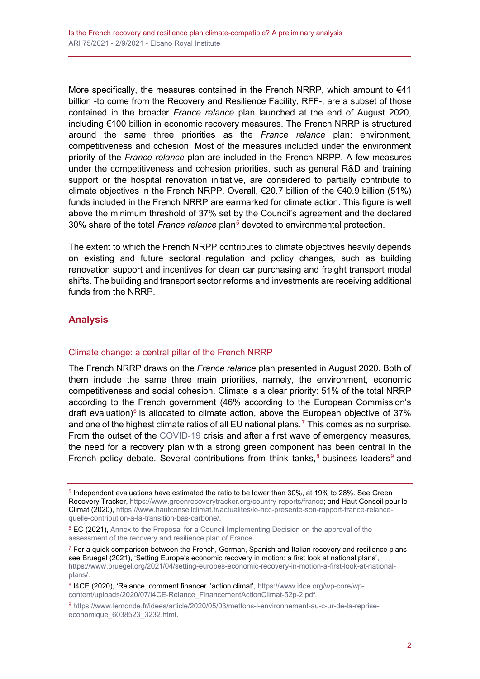More specifically, the measures contained in the French NRRP, which amount to  $€41$ billion -to come from the Recovery and Resilience Facility, RFF-, are a subset of those contained in the broader *France relance* plan launched at the end of August 2020, including €100 billion in economic recovery measures. The French NRRP is structured around the same three priorities as the *France relance* plan: environment, competitiveness and cohesion. Most of the measures included under the environment priority of the *France relance* plan are included in the French NRPP. A few measures under the competitiveness and cohesion priorities, such as general R&D and training support or the hospital renovation initiative, are considered to partially contribute to climate objectives in the French NRPP. Overall,  $\epsilon$ 20.7 billion of the  $\epsilon$ 40.9 billion (51%) funds included in the French NRRP are earmarked for climate action. This figure is well above the minimum threshold of 37% set by the Council's agreement and the declared 30% share of the total *France relance* plan<sup>[5](#page-1-0)</sup> devoted to environmental protection.

The extent to which the French NRPP contributes to climate objectives heavily depends on existing and future sectoral regulation and policy changes, such as building renovation support and incentives for clean car purchasing and freight transport modal shifts. The building and transport sector reforms and investments are receiving additional funds from the NRRP.

# **Analysis**

#### Climate change: a central pillar of the French NRRP

The French NRRP draws on the *France relance* plan presented in August 2020. Both of them include the same three main priorities, namely, the environment, economic competitiveness and social cohesion. Climate is a clear priority: 51% of the total NRRP according to the French government (46% according to the European Commission's draft evaluation)<sup>[6](#page-1-1)</sup> is allocated to climate action, above the European objective of 37% and one of the highest climate ratios of all EU national plans.<sup>[7](#page-1-2)</sup> This comes as no surprise. From the outset of the [COVID-19](https://especiales.realinstitutoelcano.org/coronavirus/?lang=en) crisis and after a first wave of emergency measures, the need for a recovery plan with a strong green component has been central in the French policy debate. Several contributions from think tanks,  $8$  business leaders  $9$  and

<span id="page-1-0"></span><sup>5</sup> Independent evaluations have estimated the ratio to be lower than 30%, at 19% to 28%. See Green Recovery Tracker, [https://www.greenrecoverytracker.org/country-reports/france;](https://www.greenrecoverytracker.org/country-reports/france) and Haut Conseil pour le Climat (2020), [https://www.hautconseilclimat.fr/actualites/le-hcc-presente-son-rapport-france-relance](https://www.hautconseilclimat.fr/actualites/le-hcc-presente-son-rapport-france-relance-quelle-contribution-a-la-transition-bas-carbone/)[quelle-contribution-a-la-transition-bas-carbone/.](https://www.hautconseilclimat.fr/actualites/le-hcc-presente-son-rapport-france-relance-quelle-contribution-a-la-transition-bas-carbone/)

<span id="page-1-1"></span><sup>&</sup>lt;sup>6</sup> EC (2021), Annex to the Proposal for a Council Implementing Decision on the approval of the [assessment of the recovery and resilience plan of France.](https://ec.europa.eu/info/files/annex-proposal-council-implementing-decision-approval-assessment-recovery-and-resilience-plan-france_fr)

<span id="page-1-2"></span> $7$  For a quick comparison between the French, German, Spanish and Italian recovery and resilience plans see Bruegel (2021), 'Setting Europe's economic recovery in motion: a first look at national plans', [https://www.bruegel.org/2021/04/setting-europes-economic-recovery-in-motion-a-first-look-at-national](https://www.bruegel.org/2021/04/setting-europes-economic-recovery-in-motion-a-first-look-at-national-plans/)[plans/.](https://www.bruegel.org/2021/04/setting-europes-economic-recovery-in-motion-a-first-look-at-national-plans/)

<span id="page-1-3"></span><sup>8</sup> I4CE (2020), 'Relance, comment financer l'action climat'[, https://www.i4ce.org/wp-core/wp](https://www.i4ce.org/wp-core/wp-content/uploads/2020/07/I4CE-Relance_FinancementActionClimat-52p-2.pdf)[content/uploads/2020/07/I4CE-Relance\\_FinancementActionClimat-52p-2.pdf.](https://www.i4ce.org/wp-core/wp-content/uploads/2020/07/I4CE-Relance_FinancementActionClimat-52p-2.pdf)

<span id="page-1-4"></span><sup>9</sup> [https://www.lemonde.fr/idees/article/2020/05/03/mettons-l-environnement-au-c-ur-de-la-reprise](https://www.lemonde.fr/idees/article/2020/05/03/mettons-l-environnement-au-c-ur-de-la-reprise-economique_6038523_3232.html)[economique\\_6038523\\_3232.html.](https://www.lemonde.fr/idees/article/2020/05/03/mettons-l-environnement-au-c-ur-de-la-reprise-economique_6038523_3232.html)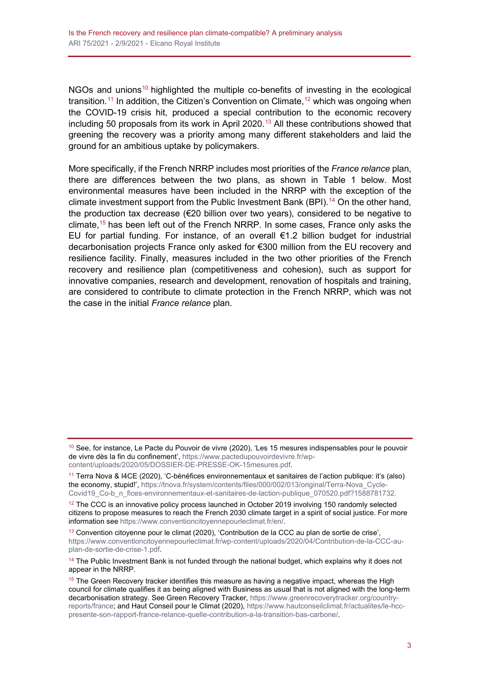NGOs and unions<sup>[10](#page-2-0)</sup> highlighted the multiple co-benefits of investing in the ecological transition.<sup>[11](#page-2-1)</sup> In addition, the Citizen's Convention on Climate,  $12$  which was ongoing when the COVID-19 crisis hit, produced a special contribution to the economic recovery including 50 proposals from its work in April 2020.<sup>[13](#page-2-3)</sup> All these contributions showed that greening the recovery was a priority among many different stakeholders and laid the ground for an ambitious uptake by policymakers.

More specifically, if the French NRRP includes most priorities of the *France relance* plan, there are differences between the two plans, as shown in Table 1 below. Most environmental measures have been included in the NRRP with the exception of the climate investment support from the Public Investment Bank (BPI).<sup>[14](#page-2-4)</sup> On the other hand, the production tax decrease (€20 billion over two years), considered to be negative to climate[,15](#page-2-5) has been left out of the French NRRP. In some cases, France only asks the EU for partial funding. For instance, of an overall €1.2 billion budget for industrial decarbonisation projects France only asked for €300 million from the EU recovery and resilience facility. Finally, measures included in the two other priorities of the French recovery and resilience plan (competitiveness and cohesion), such as support for innovative companies, research and development, renovation of hospitals and training, are considered to contribute to climate protection in the French NRRP, which was not the case in the initial *France relance* plan.

<span id="page-2-4"></span><sup>14</sup> The Public Investment Bank is not funded through the national budget, which explains why it does not appear in the NRRP.

<span id="page-2-0"></span> $10$  See, for instance, Le Pacte du Pouvoir de vivre (2020), 'Les 15 mesures indispensables pour le pouvoir de vivre dès la fin du confinement', [https://www.pactedupouvoirdevivre.fr/wp](https://www.pactedupouvoirdevivre.fr/wp-content/uploads/2020/05/DOSSIER-DE-PRESSE-OK-15mesures.pdf)[content/uploads/2020/05/DOSSIER-DE-PRESSE-OK-15mesures.pdf.](https://www.pactedupouvoirdevivre.fr/wp-content/uploads/2020/05/DOSSIER-DE-PRESSE-OK-15mesures.pdf)

<span id="page-2-1"></span><sup>11</sup> Terra Nova & I4CE (2020), 'C-bénéfices environnementaux et sanitaires de l'action publique: it's (also) the economy, stupid!', [https://tnova.fr/system/contents/files/000/002/013/original/Terra-Nova\\_Cycle-](https://tnova.fr/system/contents/files/000/002/013/original/Terra-Nova_Cycle-Covid19_Co-b_n_fices-environnementaux-et-sanitaires-de-laction-publique_070520.pdf?1588781732)[Covid19\\_Co-b\\_n\\_fices-environnementaux-et-sanitaires-de-laction-publique\\_070520.pdf?1588781732.](https://tnova.fr/system/contents/files/000/002/013/original/Terra-Nova_Cycle-Covid19_Co-b_n_fices-environnementaux-et-sanitaires-de-laction-publique_070520.pdf?1588781732)

<span id="page-2-2"></span> $12$  The CCC is an innovative policy process launched in October 2019 involving 150 randomly selected citizens to propose measures to reach the French 2030 climate target in a spirit of social justice. For more information see [https://www.conventioncitoyennepourleclimat.fr/en/.](https://www.conventioncitoyennepourleclimat.fr/en/)

<span id="page-2-3"></span> $13$  Convention citoyenne pour le climat (2020), 'Contribution de la CCC au plan de sortie de crise', [https://www.conventioncitoyennepourleclimat.fr/wp-content/uploads/2020/04/Contribution-de-la-CCC-au](https://www.conventioncitoyennepourleclimat.fr/wp-content/uploads/2020/04/Contribution-de-la-CCC-au-plan-de-sortie-de-crise-1.pdf)[plan-de-sortie-de-crise-1.pdf.](https://www.conventioncitoyennepourleclimat.fr/wp-content/uploads/2020/04/Contribution-de-la-CCC-au-plan-de-sortie-de-crise-1.pdf)

<span id="page-2-5"></span> $15$  The Green Recovery tracker identifies this measure as having a negative impact, whereas the High council for climate qualifies it as being aligned with Business as usual that is not aligned with the long-term decarbonisation strategy. See Green Recovery Tracker, [https://www.greenrecoverytracker.org/country](https://www.greenrecoverytracker.org/country-reports/france)[reports/france;](https://www.greenrecoverytracker.org/country-reports/france) and Haut Conseil pour le Climat (2020), [https://www.hautconseilclimat.fr/actualites/le-hcc](https://www.hautconseilclimat.fr/actualites/le-hcc-presente-son-rapport-france-relance-quelle-contribution-a-la-transition-bas-carbone/)[presente-son-rapport-france-relance-quelle-contribution-a-la-transition-bas-carbone/.](https://www.hautconseilclimat.fr/actualites/le-hcc-presente-son-rapport-france-relance-quelle-contribution-a-la-transition-bas-carbone/)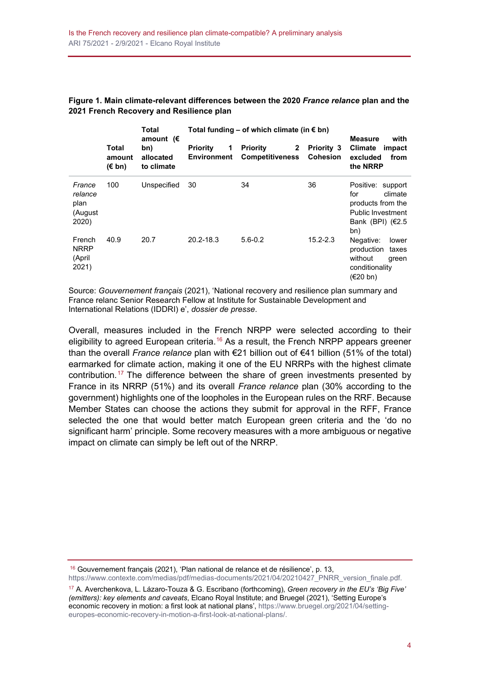|                                               |                                    | <b>Total</b><br>amount $(E)$<br>bn)<br>allocated<br>to climate | Total funding – of which climate (in € bn) | <b>Measure</b><br>with                             |                                      |                                                                                                                    |
|-----------------------------------------------|------------------------------------|----------------------------------------------------------------|--------------------------------------------|----------------------------------------------------|--------------------------------------|--------------------------------------------------------------------------------------------------------------------|
|                                               | Total<br>amount<br>$(\epsilon$ bn) |                                                                | <b>Priority</b><br>1<br>Environment        | Priority<br>$\mathbf{2}$<br><b>Competitiveness</b> | <b>Priority 3</b><br><b>Cohesion</b> | <b>Climate</b><br>impact<br>excluded<br>from<br>the NRRP                                                           |
| France<br>relance<br>plan<br>(August<br>2020) | 100                                | Unspecified                                                    | 30                                         | 34                                                 | 36                                   | Positive: support<br>for<br>climate<br>products from the<br><b>Public Investment</b><br>Bank (BPI) $(€2.5)$<br>bn) |
| French<br><b>NRRP</b><br>(April<br>2021)      | 40.9                               | 20.7                                                           | $20.2 - 18.3$                              | $5.6 - 0.2$                                        | $15.2 - 2.3$                         | Negative:<br>lower<br>production<br>taxes<br>without<br>green<br>conditionality<br>(€20 bn)                        |

**Figure 1. Main climate-relevant differences between the 2020** *France relance* **plan and the 2021 French Recovery and Resilience plan**

Source: *Gouvernement français* (2021), 'National recovery and resilience plan summary and France relanc Senior Research Fellow at Institute for Sustainable Development and International Relations (IDDRI) e', *dossier de presse*.

Overall, measures included in the French NRPP were selected according to their eligibility to agreed European criteria.<sup>[16](#page-3-0)</sup> As a result, the French NRPP appears greener than the overall *France relance* plan with €21 billion out of €41 billion (51% of the total) earmarked for climate action, making it one of the EU NRRPs with the highest climate contribution.<sup>[17](#page-3-1)</sup> The difference between the share of green investments presented by France in its NRRP (51%) and its overall *France relance* plan (30% according to the government) highlights one of the loopholes in the European rules on the RRF. Because Member States can choose the actions they submit for approval in the RFF, France selected the one that would better match European green criteria and the 'do no significant harm' principle. Some recovery measures with a more ambiguous or negative impact on climate can simply be left out of the NRRP.

<span id="page-3-0"></span><sup>16</sup> Gouvernement français (2021), 'Plan national de relance et de résilience', p. 13, [https://www.contexte.com/medias/pdf/medias-documents/2021/04/20210427\\_PNRR\\_version\\_finale.pdf.](https://www.contexte.com/medias/pdf/medias-documents/2021/04/20210427_PNRR_version_finale.pdf)

<span id="page-3-1"></span><sup>17</sup> A. Averchenkova, L. Lázaro-Touza & G. Escribano (forthcoming), *Green recovery in the EU's 'Big Five' (emitters): key elements and caveats*, Elcano Royal Institute; and Bruegel (2021), 'Setting Europe's economic recovery in motion: a first look at national plans'[, https://www.bruegel.org/2021/04/setting](https://www.bruegel.org/2021/04/setting-europes-economic-recovery-in-motion-a-first-look-at-national-plans/)[europes-economic-recovery-in-motion-a-first-look-at-national-plans/.](https://www.bruegel.org/2021/04/setting-europes-economic-recovery-in-motion-a-first-look-at-national-plans/)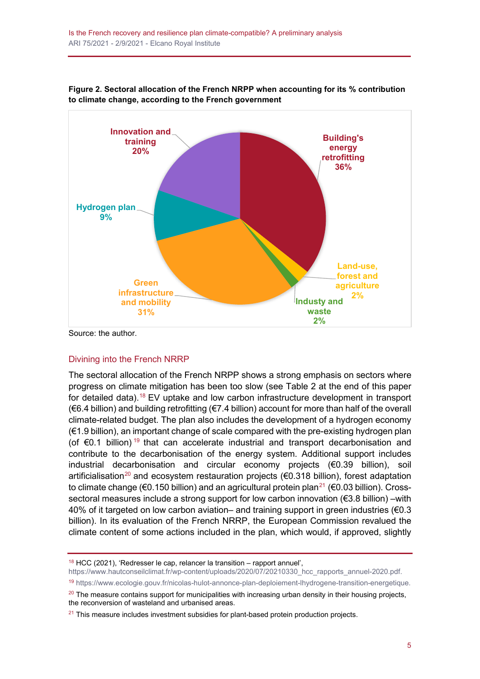

**Figure 2. Sectoral allocation of the French NRPP when accounting for its % contribution to climate change, according to the French government**

Source: the author.

#### Divining into the French NRRP

The sectoral allocation of the French NRPP shows a strong emphasis on sectors where progress on climate mitigation has been too slow (see Table 2 at the end of this paper for detailed data).[18](#page-4-0) EV uptake and low carbon infrastructure development in transport (€6.4 billion) and building retrofitting (€7.4 billion) account for more than half of the overall climate-related budget. The plan also includes the development of a hydrogen economy (€1.9 billion), an important change of scale compared with the pre-existing hydrogen plan (of €0.1 billion)<sup>[19](#page-4-1)</sup> that can accelerate industrial and transport decarbonisation and contribute to the decarbonisation of the energy system. Additional support includes industrial decarbonisation and circular economy projects (€0.39 billion), soil artificialisation<sup>[20](#page-4-2)</sup> and ecosystem restauration projects ( $\epsilon$ 0.318 billion), forest adaptation to climate change (€0.150 billion) and an agricultural protein plan<sup>[21](#page-4-3)</sup> (€0.03 billion). Crosssectoral measures include a strong support for low carbon innovation (€3.8 billion) –with 40% of it targeted on low carbon aviation– and training support in green industries ( $\epsilon$ 0.3 billion). In its evaluation of the French NRRP, the European Commission revalued the climate content of some actions included in the plan, which would, if approved, slightly

<sup>18</sup> HCC (2021), 'Redresser le cap, relancer la transition – rapport annuel',

<span id="page-4-0"></span>[https://www.hautconseilclimat.fr/wp-content/uploads/2020/07/20210330\\_hcc\\_rapports\\_annuel-2020.pdf.](https://www.hautconseilclimat.fr/wp-content/uploads/2020/07/20210330_hcc_rapports_annuel-2020.pdf)

<sup>19</sup> [https://www.ecologie.gouv.fr/nicolas-hulot-annonce-plan-deploiement-lhydrogene-transition-energetique.](https://www.ecologie.gouv.fr/nicolas-hulot-annonce-plan-deploiement-lhydrogene-transition-energetique)

<span id="page-4-2"></span><span id="page-4-1"></span> $20$  The measure contains support for municipalities with increasing urban density in their housing projects, the reconversion of wasteland and urbanised areas.

<span id="page-4-3"></span> $21$  This measure includes investment subsidies for plant-based protein production projects.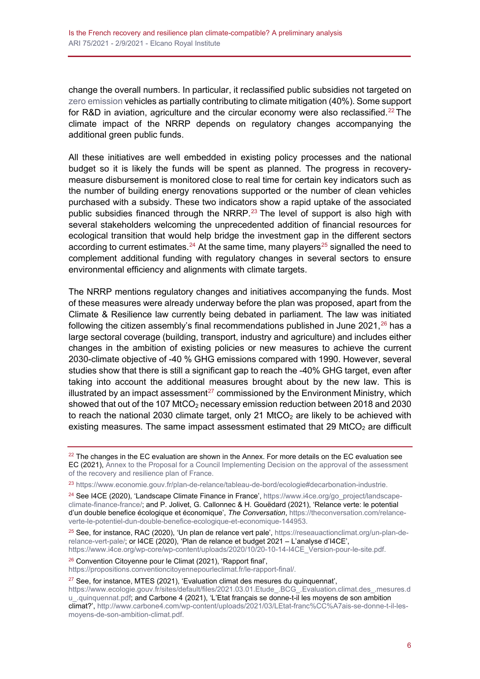change the overall numbers. In particular, it reclassified public subsidies not targeted on [zero emission](http://www.realinstitutoelcano.org/wps/portal/rielcano_en/event?WCM_GLOBAL_CONTEXT=/elcano/elcano_in/calendar/activities/reaching-net-zero-learning-international-experiencia-climate-legislation-cop25) vehicles as partially contributing to climate mitigation (40%). Some support for R&D in aviation, agriculture and the circular economy were also reclassified.<sup>[22](#page-5-0)</sup> The climate impact of the NRRP depends on regulatory changes accompanying the additional green public funds.

All these initiatives are well embedded in existing policy processes and the national budget so it is likely the funds will be spent as planned. The progress in recoverymeasure disbursement is monitored close to real time for certain key indicators such as the number of building energy renovations supported or the number of clean vehicles purchased with a subsidy. These two indicators show a rapid uptake of the associated public subsidies financed through the NRRP.<sup>[23](#page-5-1)</sup> The level of support is also high with several stakeholders welcoming the unprecedented addition of financial resources for ecological transition that would help bridge the investment gap in the different sectors according to current estimates.<sup>[24](#page-5-2)</sup> At the same time, many players<sup>[25](#page-5-3)</sup> signalled the need to complement additional funding with regulatory changes in several sectors to ensure environmental efficiency and alignments with climate targets.

The NRRP mentions regulatory changes and initiatives accompanying the funds. Most of these measures were already underway before the plan was proposed, apart from the Climate & Resilience law currently being debated in parliament. The law was initiated following the citizen assembly's final recommendations published in June 2021.<sup>[26](#page-5-4)</sup> has a large sectoral coverage (building, transport, industry and agriculture) and includes either changes in the ambition of existing policies or new measures to achieve the current 2030-climate objective of -40 % GHG emissions compared with 1990. However, several studies show that there is still a significant gap to reach the -40% GHG target, even after taking into account the additional measures brought about by the new law. This is illustrated by an impact assessment<sup>[27](#page-5-5)</sup> commissioned by the Environment Ministry, which showed that out of the 107 MtCO<sub>2</sub> necessary emission reduction between 2018 and 2030 to reach the national 2030 climate target, only 21 MtCO<sub>2</sub> are likely to be achieved with existing measures. The same impact assessment estimated that 29 MtCO $_2$  are difficult

<span id="page-5-2"></span><sup>24</sup> See I4CE (2020), 'Landscape Climate Finance in France', [https://www.i4ce.org/go\\_project/landscape](https://www.i4ce.org/go_project/landscape-climate-finance-france/)[climate-finance-france/;](https://www.i4ce.org/go_project/landscape-climate-finance-france/) and P. Jolivet, G. Callonnec & H. Gouëdard (2021), 'Relance verte: le potential d'un double benefice écologique et économique', *The Conversation*[, https://theconversation.com/relance](https://theconversation.com/relance-verte-le-potentiel-dun-double-benefice-ecologique-et-economique-144953)[verte-le-potentiel-dun-double-benefice-ecologique-et-economique-144953.](https://theconversation.com/relance-verte-le-potentiel-dun-double-benefice-ecologique-et-economique-144953)

<span id="page-5-3"></span><sup>25</sup> See, for instance, RAC (2020), 'Un plan de relance vert pale', [https://reseauactionclimat.org/un-plan-de](https://reseauactionclimat.org/un-plan-de-relance-vert-pale/)[relance-vert-pale/;](https://reseauactionclimat.org/un-plan-de-relance-vert-pale/) or I4CE (2020), 'Plan de relance et budget 2021 – L'analyse d'I4CE', [https://www.i4ce.org/wp-core/wp-content/uploads/2020/10/20-10-14-I4CE\\_Version-pour-le-site.pdf.](https://www.i4ce.org/wp-core/wp-content/uploads/2020/10/20-10-14-I4CE_Version-pour-le-site.pdf)

<span id="page-5-4"></span><sup>26</sup> Convention Citoyenne pour le Climat (2021), 'Rapport final', [https://propositions.conventioncitoyennepourleclimat.fr/le-rapport-final/.](https://propositions.conventioncitoyennepourleclimat.fr/le-rapport-final/)

<span id="page-5-5"></span> $27$  See, for instance, MTES (2021), 'Evaluation climat des mesures du quinquennat', [https://www.ecologie.gouv.fr/sites/default/files/2021.03.01.Etude\\_.BCG\\_.Evaluation.climat.des\\_.mesures.d](https://www.ecologie.gouv.fr/sites/default/files/2021.03.01.Etude_.BCG_.Evaluation.climat.des_.mesures.du_.quinquennat.pdf)

[u\\_.quinquennat.pdf;](https://www.ecologie.gouv.fr/sites/default/files/2021.03.01.Etude_.BCG_.Evaluation.climat.des_.mesures.du_.quinquennat.pdf) and Carbone 4 (2021), 'L'Etat français se donne-t-il les moyens de son ambition climat?'[, http://www.carbone4.com/wp-content/uploads/2021/03/LEtat-franc%CC%A7ais-se-donne-t-il-les](http://www.carbone4.com/wp-content/uploads/2021/03/LEtat-franc%CC%A7ais-se-donne-t-il-les-moyens-de-son-ambition-climat.pdf)[moyens-de-son-ambition-climat.pdf.](http://www.carbone4.com/wp-content/uploads/2021/03/LEtat-franc%CC%A7ais-se-donne-t-il-les-moyens-de-son-ambition-climat.pdf)

<span id="page-5-0"></span> $22$  The changes in the EC evaluation are shown in the Annex. For more details on the EC evaluation see EC (2021), [Annex to the Proposal for a Council Implementing Decision on the approval of the assessment](https://ec.europa.eu/info/files/annex-proposal-council-implementing-decision-approval-assessment-recovery-and-resilience-plan-france_fr)  [of the recovery and resilience plan of France.](https://ec.europa.eu/info/files/annex-proposal-council-implementing-decision-approval-assessment-recovery-and-resilience-plan-france_fr)

<span id="page-5-1"></span><sup>23</sup> [https://www.economie.gouv.fr/plan-de-relance/tableau-de-bord/ecologie#decarbonation-industrie.](https://www.economie.gouv.fr/plan-de-relance/tableau-de-bord/ecologie%23decarbonation-industrie)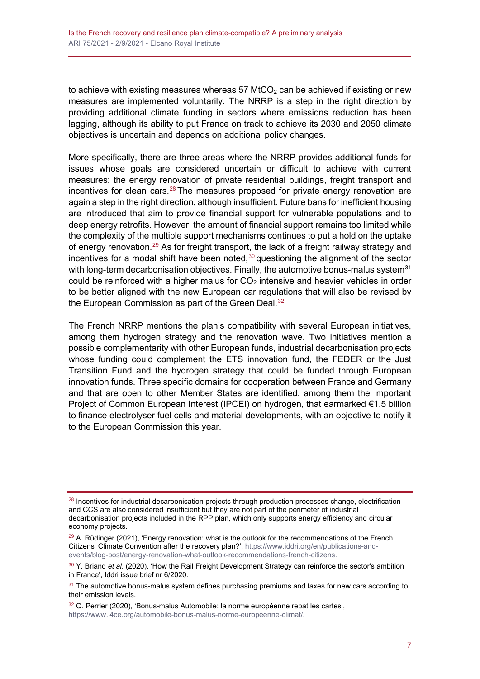to achieve with existing measures whereas 57  $MCO<sub>2</sub>$  can be achieved if existing or new measures are implemented voluntarily. The NRRP is a step in the right direction by providing additional climate funding in sectors where emissions reduction has been lagging, although its ability to put France on track to achieve its 2030 and 2050 climate objectives is uncertain and depends on additional policy changes.

More specifically, there are three areas where the NRRP provides additional funds for issues whose goals are considered uncertain or difficult to achieve with current measures: the energy renovation of private residential buildings, freight transport and incentives for clean cars. $28$  The measures proposed for private energy renovation are again a step in the right direction, although insufficient. Future bans for inefficient housing are introduced that aim to provide financial support for vulnerable populations and to deep energy retrofits. However, the amount of financial support remains too limited while the complexity of the multiple support mechanisms continues to put a hold on the uptake of energy renovation.<sup>[29](#page-6-1)</sup> As for freight transport, the lack of a freight railway strategy and incentives for a modal shift have been noted, $30$  questioning the alignment of the sector with long-term decarbonisation objectives. Finally, the automotive bonus-malus system $31$ could be reinforced with a higher malus for  $CO<sub>2</sub>$  intensive and heavier vehicles in order to be better aligned with the new European car regulations that will also be revised by the European Commission as part of the Green Deal.<sup>[32](#page-6-4)</sup>

The French NRRP mentions the plan's compatibility with several European initiatives, among them hydrogen strategy and the renovation wave. Two initiatives mention a possible complementarity with other European funds, industrial decarbonisation projects whose funding could complement the ETS innovation fund, the FEDER or the Just Transition Fund and the hydrogen strategy that could be funded through European innovation funds. Three specific domains for cooperation between France and Germany and that are open to other Member States are identified, among them the Important Project of Common European Interest (IPCEI) on hydrogen, that earmarked €1.5 billion to finance electrolyser fuel cells and material developments, with an objective to notify it to the European Commission this year.

<span id="page-6-0"></span><sup>&</sup>lt;sup>28</sup> Incentives for industrial decarbonisation projects through production processes change, electrification and CCS are also considered insufficient but they are not part of the perimeter of industrial decarbonisation projects included in the RPP plan, which only supports energy efficiency and circular economy projects.

<span id="page-6-1"></span><sup>&</sup>lt;sup>29</sup> A. Rüdinger (2021), 'Energy renovation: what is the outlook for the recommendations of the French Citizens' Climate Convention after the recovery plan?', [https://www.iddri.org/en/publications-and](https://www.iddri.org/en/publications-and-events/blog-post/energy-renovation-what-outlook-recommendations-french-citizens)[events/blog-post/energy-renovation-what-outlook-recommendations-french-citizens.](https://www.iddri.org/en/publications-and-events/blog-post/energy-renovation-what-outlook-recommendations-french-citizens)

<span id="page-6-2"></span><sup>30</sup> Y. Briand *et al*. (2020), 'How the Rail Freight Development Strategy can reinforce the sector's ambition in France', Iddri issue brief nr 6/2020.

<span id="page-6-3"></span><sup>&</sup>lt;sup>31</sup> The automotive bonus-malus system defines purchasing premiums and taxes for new cars according to their emission levels.

<span id="page-6-4"></span><sup>32</sup> Q. Perrier (2020), 'Bonus-malus Automobile: la norme européenne rebat les cartes', [https://www.i4ce.org/automobile-bonus-malus-norme-europeenne-climat/.](https://www.i4ce.org/automobile-bonus-malus-norme-europeenne-climat/)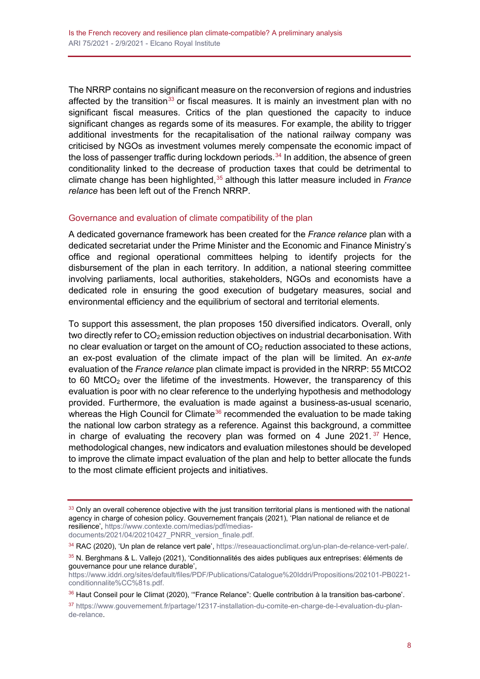The NRRP contains no significant measure on the reconversion of regions and industries affected by the transition<sup>[33](#page-7-0)</sup> or fiscal measures. It is mainly an investment plan with no significant fiscal measures. Critics of the plan questioned the capacity to induce significant changes as regards some of its measures. For example, the ability to trigger additional investments for the recapitalisation of the national railway company was criticised by NGOs as investment volumes merely compensate the economic impact of the loss of passenger traffic during lockdown periods. $34$  In addition, the absence of green conditionality linked to the decrease of production taxes that could be detrimental to climate change has been highlighted,<sup>[35](#page-7-2)</sup> although this latter measure included in *France relance* has been left out of the French NRRP.

#### Governance and evaluation of climate compatibility of the plan

A dedicated governance framework has been created for the *France relance* plan with a dedicated secretariat under the Prime Minister and the Economic and Finance Ministry's office and regional operational committees helping to identify projects for the disbursement of the plan in each territory. In addition, a national steering committee involving parliaments, local authorities, stakeholders, NGOs and economists have a dedicated role in ensuring the good execution of budgetary measures, social and environmental efficiency and the equilibrium of sectoral and territorial elements.

To support this assessment, the plan proposes 150 diversified indicators. Overall, only two directly refer to  $CO<sub>2</sub>$  emission reduction objectives on industrial decarbonisation. With no clear evaluation or target on the amount of  $CO<sub>2</sub>$  reduction associated to these actions, an ex-post evaluation of the climate impact of the plan will be limited. An *ex-ante* evaluation of the *France relance* plan climate impact is provided in the NRRP: 55 MtCO2 to 60 MtCO<sub>2</sub> over the lifetime of the investments. However, the transparency of this evaluation is poor with no clear reference to the underlying hypothesis and methodology provided. Furthermore, the evaluation is made against a business-as-usual scenario, whereas the High Council for Climate<sup>[36](#page-7-3)</sup> recommended the evaluation to be made taking the national low carbon strategy as a reference. Against this background, a committee in charge of evaluating the recovery plan was formed on 4 June 2021.  $37$  Hence, methodological changes, new indicators and evaluation milestones should be developed to improve the climate impact evaluation of the plan and help to better allocate the funds to the most climate efficient projects and initiatives.

<span id="page-7-0"></span> $33$  Only an overall coherence objective with the just transition territorial plans is mentioned with the national agency in charge of cohesion policy. Gouvernement français (2021), 'Plan national de reliance et de resilience', [https://www.contexte.com/medias/pdf/medias](https://www.contexte.com/medias/pdf/medias-documents/2021/04/20210427_PNRR_version_finale.pdf)[documents/2021/04/20210427\\_PNRR\\_version\\_finale.pdf.](https://www.contexte.com/medias/pdf/medias-documents/2021/04/20210427_PNRR_version_finale.pdf)

<span id="page-7-1"></span><sup>34</sup> RAC (2020), 'Un plan de relance vert pale'[, https://reseauactionclimat.org/un-plan-de-relance-vert-pale/.](https://reseauactionclimat.org/un-plan-de-relance-vert-pale/)

<span id="page-7-2"></span><sup>35</sup> N. Berghmans & L. Vallejo (2021), 'Conditionnalités des aides publiques aux entreprises: éléments de gouvernance pour une relance durable',

[https://www.iddri.org/sites/default/files/PDF/Publications/Catalogue%20Iddri/Propositions/202101-PB0221](https://www.iddri.org/sites/default/files/PDF/Publications/Catalogue%20Iddri/Propositions/202101-PB0221-conditionnalite%CC%81s.pdf) [conditionnalite%CC%81s.pdf.](https://www.iddri.org/sites/default/files/PDF/Publications/Catalogue%20Iddri/Propositions/202101-PB0221-conditionnalite%CC%81s.pdf)

<span id="page-7-3"></span><sup>36</sup> Haut Conseil pour le Climat (2020), '"France Relance": Quelle contribution à la transition bas-carbone'.

<span id="page-7-4"></span><sup>37</sup> [https://www.gouvernement.fr/partage/12317-installation-du-comite-en-charge-de-l-evaluation-du-plan](https://www.gouvernement.fr/partage/12317-installation-du-comite-en-charge-de-l-evaluation-du-plan-de-relance)[de-relance.](https://www.gouvernement.fr/partage/12317-installation-du-comite-en-charge-de-l-evaluation-du-plan-de-relance)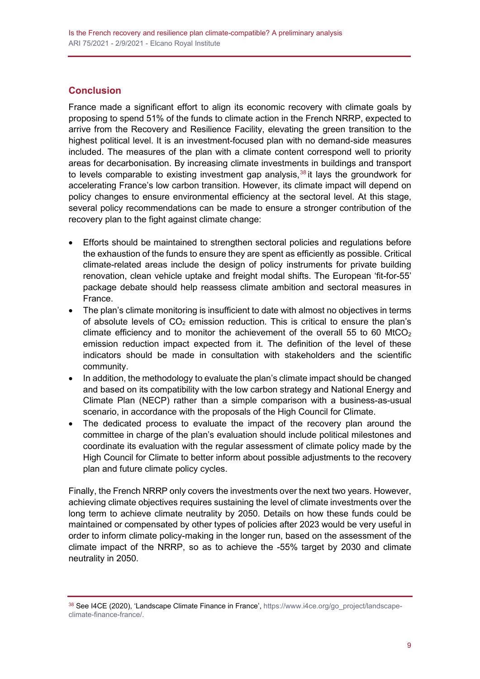# **Conclusion**

France made a significant effort to align its economic recovery with climate goals by proposing to spend 51% of the funds to climate action in the French NRRP, expected to arrive from the Recovery and Resilience Facility, elevating the green transition to the highest political level. It is an investment-focused plan with no demand-side measures included. The measures of the plan with a climate content correspond well to priority areas for decarbonisation. By increasing climate investments in buildings and transport to levels comparable to existing investment gap analysis, $38$  it lays the groundwork for accelerating France's low carbon transition. However, its climate impact will depend on policy changes to ensure environmental efficiency at the sectoral level. At this stage, several policy recommendations can be made to ensure a stronger contribution of the recovery plan to the fight against climate change:

- Efforts should be maintained to strengthen sectoral policies and regulations before the exhaustion of the funds to ensure they are spent as efficiently as possible. Critical climate-related areas include the design of policy instruments for private building renovation, clean vehicle uptake and freight modal shifts. The European 'fit-for-55' package debate should help reassess climate ambition and sectoral measures in France.
- The plan's climate monitoring is insufficient to date with almost no objectives in terms of absolute levels of  $CO<sub>2</sub>$  emission reduction. This is critical to ensure the plan's climate efficiency and to monitor the achievement of the overall 55 to 60 MtCO<sub>2</sub> emission reduction impact expected from it. The definition of the level of these indicators should be made in consultation with stakeholders and the scientific community.
- In addition, the methodology to evaluate the plan's climate impact should be changed and based on its compatibility with the low carbon strategy and National Energy and Climate Plan (NECP) rather than a simple comparison with a business-as-usual scenario, in accordance with the proposals of the High Council for Climate.
- The dedicated process to evaluate the impact of the recovery plan around the committee in charge of the plan's evaluation should include political milestones and coordinate its evaluation with the regular assessment of climate policy made by the High Council for Climate to better inform about possible adjustments to the recovery plan and future climate policy cycles.

Finally, the French NRRP only covers the investments over the next two years. However, achieving climate objectives requires sustaining the level of climate investments over the long term to achieve climate neutrality by 2050. Details on how these funds could be maintained or compensated by other types of policies after 2023 would be very useful in order to inform climate policy-making in the longer run, based on the assessment of the climate impact of the NRRP, so as to achieve the -55% target by 2030 and climate neutrality in 2050.

<span id="page-8-0"></span><sup>38</sup> See I4CE (2020), 'Landscape Climate Finance in France', [https://www.i4ce.org/go\\_project/landscape](https://www.i4ce.org/go_project/landscape-climate-finance-france/)[climate-finance-france/.](https://www.i4ce.org/go_project/landscape-climate-finance-france/)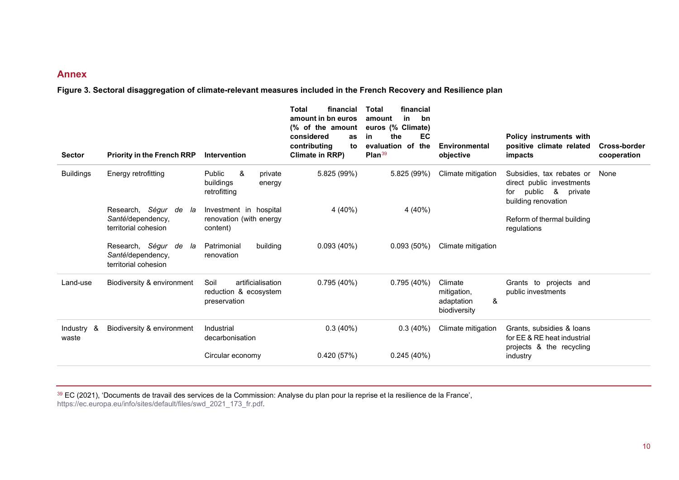### <span id="page-9-0"></span>**Annex**

**Figure 3. Sectoral disaggregation of climate-relevant measures included in the French Recovery and Resilience plan**

| <b>Sector</b>            | <b>Priority in the French RRP</b>                                        | <b>Intervention</b>                                                                     | <b>Total</b><br>financial<br>amount in bn euros<br>(% of the amount<br>considered<br><b>as</b><br>contributing<br>to<br>Climate in RRP) | financial<br><b>Total</b><br>in<br>bn<br>amount<br>euros (% Climate)<br>EC<br>the<br>in<br>the<br>evaluation of<br>Plan $39$ | Environmental<br>objective                                | <b>Policy instruments with</b><br>positive climate related<br>impacts                                                       | <b>Cross-border</b><br>cooperation |
|--------------------------|--------------------------------------------------------------------------|-----------------------------------------------------------------------------------------|-----------------------------------------------------------------------------------------------------------------------------------------|------------------------------------------------------------------------------------------------------------------------------|-----------------------------------------------------------|-----------------------------------------------------------------------------------------------------------------------------|------------------------------------|
| <b>Buildings</b>         | Energy retrofitting<br>Research, Ségur de<br>la                          | &<br>Public<br>private<br>buildings<br>energy<br>retrofitting<br>Investment in hospital | 5.825 (99%)<br>4 (40%)                                                                                                                  | 5.825 (99%)<br>4 (40%)                                                                                                       | Climate mitigation                                        | Subsidies, tax rebates or<br>direct public investments<br>public<br>8 <sup>8</sup><br>private<br>for<br>building renovation | None                               |
|                          | Santé/dependency,<br>territorial cohesion                                | renovation (with energy<br>content)                                                     |                                                                                                                                         |                                                                                                                              |                                                           | Reform of thermal building<br>regulations                                                                                   |                                    |
|                          | Research, Ségur<br>de<br>la<br>Santé/dependency,<br>territorial cohesion | Patrimonial<br>building<br>renovation                                                   | 0.093(40%)                                                                                                                              | 0.093(50%)                                                                                                                   | Climate mitigation                                        |                                                                                                                             |                                    |
| Land-use                 | Biodiversity & environment                                               | artificialisation<br>Soil<br>reduction & ecosystem<br>preservation                      | 0.795(40%)                                                                                                                              | 0.795(40%)                                                                                                                   | Climate<br>mitigation,<br>&<br>adaptation<br>biodiversity | Grants to projects and<br>public investments                                                                                |                                    |
| Industry<br>୍ୟୁ<br>waste | Biodiversity & environment                                               | Industrial<br>decarbonisation                                                           | 0.3(40%)                                                                                                                                | 0.3(40%)                                                                                                                     | Climate mitigation                                        | Grants, subsidies & loans<br>for EE & RE heat industrial<br>projects & the recycling                                        |                                    |
|                          |                                                                          | Circular economy                                                                        | 0.420(57%)                                                                                                                              | 0.245(40%)                                                                                                                   |                                                           | industry                                                                                                                    |                                    |

 $^{39}$  EC (2021), 'Documents de travail des services de la Commission: Analyse du plan pour la reprise et la resilience de la France', [https://ec.europa.eu/info/sites/default/files/swd\\_2021\\_173\\_fr.pdf.](https://ec.europa.eu/info/sites/default/files/swd_2021_173_fr.pdf)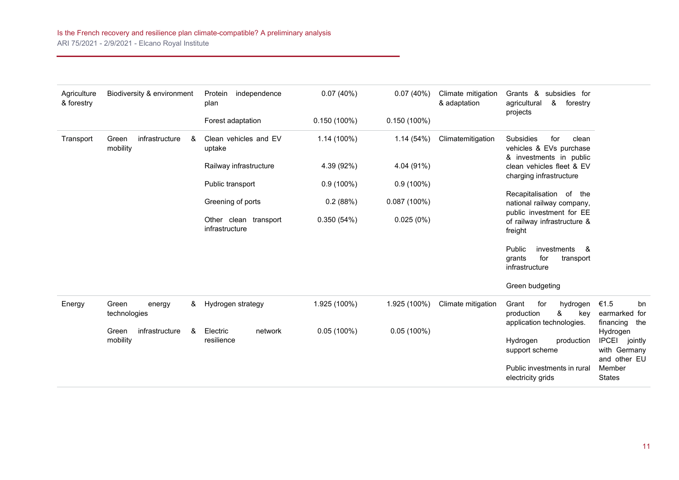| Agriculture<br>& forestry | Biodiversity & environment               | Protein<br>independence<br>plan         | 0.07(40%)      | 0.07(40%)      | Climate mitigation<br>& adaptation | Grants & subsidies for<br>agricultural<br>&<br>forestry<br>projects                                                                                                                                                                |                                                                     |
|---------------------------|------------------------------------------|-----------------------------------------|----------------|----------------|------------------------------------|------------------------------------------------------------------------------------------------------------------------------------------------------------------------------------------------------------------------------------|---------------------------------------------------------------------|
|                           |                                          | Forest adaptation                       | $0.150(100\%)$ | $0.150(100\%)$ |                                    |                                                                                                                                                                                                                                    |                                                                     |
| Transport                 | infrastructure<br>Green<br>&<br>mobility | Clean vehicles and EV<br>uptake         | $1.14(100\%)$  | 1.14(54%)      | Climatemitigation                  | <b>Subsidies</b><br>for<br>clean<br>vehicles & EVs purchase<br>& investments in public<br>clean vehicles fleet & EV<br>charging infrastructure<br>Recapitalisation of the<br>national railway company,<br>public investment for EE |                                                                     |
|                           |                                          | Railway infrastructure                  | 4.39 (92%)     | 4.04 (91%)     |                                    |                                                                                                                                                                                                                                    |                                                                     |
|                           |                                          | Public transport                        | $0.9(100\%)$   | $0.9(100\%)$   |                                    |                                                                                                                                                                                                                                    |                                                                     |
|                           |                                          | Greening of ports                       | 0.2(88%)       | 0.087(100%)    |                                    |                                                                                                                                                                                                                                    |                                                                     |
|                           |                                          | Other clean transport<br>infrastructure | 0.350(54%)     | 0.025(0%)      |                                    | of railway infrastructure &<br>freight                                                                                                                                                                                             |                                                                     |
|                           |                                          |                                         |                |                |                                    | Public<br>investments<br>- &<br>for<br>grants<br>transport<br>infrastructure                                                                                                                                                       |                                                                     |
|                           |                                          |                                         |                |                |                                    | Green budgeting                                                                                                                                                                                                                    |                                                                     |
| Energy                    | Green<br>&<br>energy<br>technologies     | Hydrogen strategy                       | 1.925 (100%)   | 1.925 (100%)   | Climate mitigation                 | Grant<br>for<br>hydrogen<br>&<br>production<br>key<br>application technologies.                                                                                                                                                    | €1.5<br>bn<br>earmarked for<br>financing the                        |
|                           | infrastructure<br>Green<br>&<br>mobility | Electric<br>network<br>resilience       | $0.05(100\%)$  | $0.05(100\%)$  |                                    | Hydrogen<br>production<br>support scheme                                                                                                                                                                                           | Hydrogen<br><b>IPCEI</b><br>jointly<br>with Germany<br>and other EU |
|                           |                                          |                                         |                |                |                                    | Public investments in rural<br>electricity grids                                                                                                                                                                                   | Member<br><b>States</b>                                             |